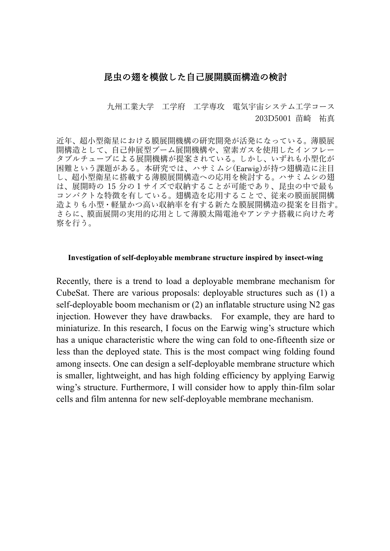# 昆虫の翅を模倣した自己展開膜面構造の検討

九州工業大学 工学府 工学専攻 雷気宇宙システム工学コース 203D5001 苗崎 祐真

近年、超⼩型衛星における膜展開機構の研究開発が活発になっている。薄膜展 開構造として、自己伸展型ブーム展開機構や、窒素ガスを使用したインフレー タブルチューブによる展開機構が提案されている。しかし、いずれも小型化が 困難という課題がある。本研究では、ハサミムシ(Earwig)が持つ翅構造に注目 し、超小型衛星に搭載する薄膜展開構造への応用を検討する。ハサミムシの翅 は、展開時の 15 分の1サイズで収納することが可能であり、昆⾍の中で最も コンパクトな特徴を有している。翅構造を応用することで、従来の膜面展開構 造よりも⼩型・軽量かつ⾼い収納率を有する新たな膜展開構造の提案を⽬指す。 さらに、膜面展開の実用的応用として薄膜太陽電池やアンテナ搭載に向けた考 察を⾏う。

#### **Investigation of self-deployable membrane structure inspired by insect-wing**

Recently, there is a trend to load a deployable membrane mechanism for CubeSat. There are various proposals: deployable structures such as (1) a self-deployable boom mechanism or (2) an inflatable structure using N2 gas injection. However they have drawbacks. For example, they are hard to miniaturize. In this research, I focus on the Earwig wing's structure which has a unique characteristic where the wing can fold to one-fifteenth size or less than the deployed state. This is the most compact wing folding found among insects. One can design a self-deployable membrane structure which is smaller, lightweight, and has high folding efficiency by applying Earwig wing's structure. Furthermore, I will consider how to apply thin-film solar cells and film antenna for new self-deployable membrane mechanism.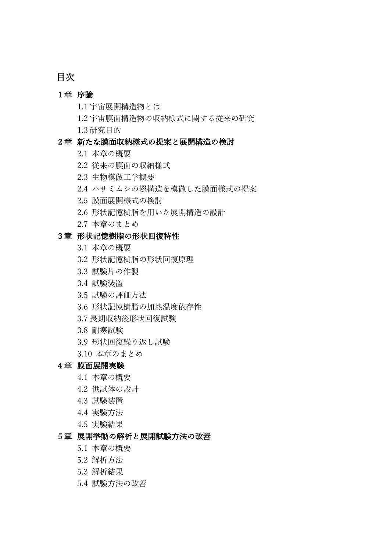# 目次

### 1章 序論

- 1.1 宇宙展開構造物とは
- 1.2 宇宙膜面構造物の収納様式に関する従来の研究
- 1.3 研究⽬的

## 2章 新たな膜⾯収納様式の提案と展開構造の検討

- 2.1 本章の概要
- 2.2 従来の膜⾯の収納様式
- 2.3 ⽣物模倣⼯学概要
- 2.4 ハサミムシの翅構造を模倣した膜⾯様式の提案
- 2.5 膜⾯展開様式の検討
- 2.6 形状記憶樹脂を用いた展開構造の設計
- 2.7 本章のまとめ

## 3章 形状記憶樹脂の形状回復特性

- 3.1 本章の概要
- 3.2 形状記憶樹脂の形状回復原理
- 3.3 試験片の作製
- 3.4 試験装置
- 3.5 試験の評価方法
- 3.6 形状記憶樹脂の加熱温度依存性
- 3.7 長期収納後形状回復試験
- 3.8 耐寒試験
- 3.9 形状回復繰り返し試験
- 3.10 本章のまとめ

#### 4章 膜⾯展開実験

- 4.1 本章の概要
- 4.2 供試体の設計
- 4.3 試験装置
- 4.4 実験⽅法
- 4.5 実験結果

#### 5章 展開挙動の解析と展開試験方法の改善

- 5.1 本章の概要
- 5.2 解析⽅法
- 5.3 解析結果
- 5.4 試験方法の改善